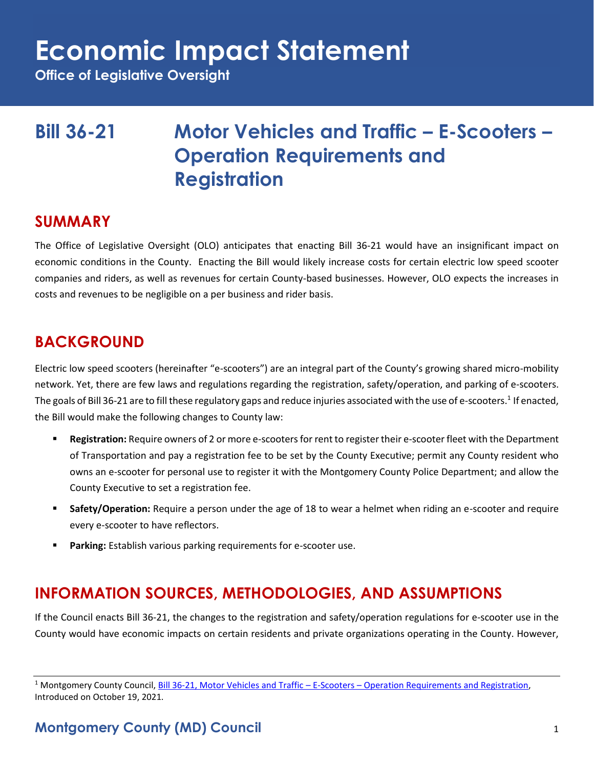**Office of Legislative Oversight**

# **Bill 36-21 Motor Vehicles and Traffic – E-Scooters – Operation Requirements and Registration**

### **SUMMARY**

The Office of Legislative Oversight (OLO) anticipates that enacting Bill 36-21 would have an insignificant impact on economic conditions in the County. Enacting the Bill would likely increase costs for certain electric low speed scooter companies and riders, as well as revenues for certain County-based businesses. However, OLO expects the increases in costs and revenues to be negligible on a per business and rider basis.

# **BACKGROUND**

Electric low speed scooters (hereinafter "e-scooters") are an integral part of the County's growing shared micro-mobility network. Yet, there are few laws and regulations regarding the registration, safety/operation, and parking of e-scooters. The goals of Bill 36-21 are to fill these regulatory gaps and reduce injuries associated with the use of e-scooters.<sup>1</sup> If enacted, the Bill would make the following changes to County law:

- Registration: Require owners of 2 or more e-scooters for rent to register their e-scooter fleet with the Department of Transportation and pay a registration fee to be set by the County Executive; permit any County resident who owns an e-scooter for personal use to register it with the Montgomery County Police Department; and allow the County Executive to set a registration fee.
- **EXECT:** Safety/Operation: Require a person under the age of 18 to wear a helmet when riding an e-scooter and require every e-scooter to have reflectors.
- Parking: Establish various parking requirements for e-scooter use.

# **INFORMATION SOURCES, METHODOLOGIES, AND ASSUMPTIONS**

If the Council enacts Bill 36-21, the changes to the registration and safety/operation regulations for e-scooter use in the County would have economic impacts on certain residents and private organizations operating in the County. However,

<sup>&</sup>lt;sup>1</sup> Montgomery County Council, Bill 36-21, Motor Vehicles and Traffic – E-Scooters – [Operation Requirements and Registration,](https://www.montgomerycountymd.gov/council/Resources/Files/agenda/col/2021/20211019/20211019_10A.pdf) Introduced on October 19, 2021.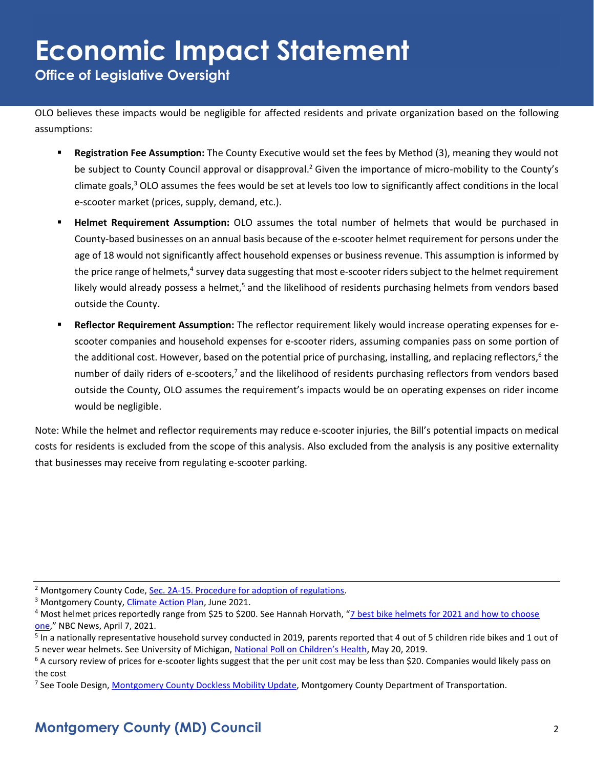**Office of Legislative Oversight**

OLO believes these impacts would be negligible for affected residents and private organization based on the following assumptions:

- **Registration Fee Assumption:** The County Executive would set the fees by Method (3), meaning they would not be subject to County Council approval or disapproval.<sup>2</sup> Given the importance of micro-mobility to the County's climate goals, $3$  OLO assumes the fees would be set at levels too low to significantly affect conditions in the local e-scooter market (prices, supply, demand, etc.).
- **Helmet Requirement Assumption:** OLO assumes the total number of helmets that would be purchased in County-based businesses on an annual basis because of the e-scooter helmet requirement for persons under the age of 18 would not significantly affect household expenses or business revenue. This assumption is informed by the price range of helmets,<sup>4</sup> survey data suggesting that most e-scooter riders subject to the helmet requirement likely would already possess a helmet,<sup>5</sup> and the likelihood of residents purchasing helmets from vendors based outside the County.
- **Reflector Requirement Assumption:** The reflector requirement likely would increase operating expenses for escooter companies and household expenses for e-scooter riders, assuming companies pass on some portion of the additional cost. However, based on the potential price of purchasing, installing, and replacing reflectors,<sup>6</sup> the number of daily riders of e-scooters,<sup>7</sup> and the likelihood of residents purchasing reflectors from vendors based outside the County, OLO assumes the requirement's impacts would be on operating expenses on rider income would be negligible.

Note: While the helmet and reflector requirements may reduce e-scooter injuries, the Bill's potential impacts on medical costs for residents is excluded from the scope of this analysis. Also excluded from the analysis is any positive externality that businesses may receive from regulating e-scooter parking.

<sup>&</sup>lt;sup>2</sup> Montgomery County Code, [Sec. 2A-15. Procedure for adoption of regulations.](https://codelibrary.amlegal.com/codes/montgomerycounty/latest/montgomeryco_md/0-0-0-2140)

<sup>&</sup>lt;sup>3</sup> Montgomery County, [Climate Action Plan,](https://www.montgomerycountymd.gov/green/Resources/Files/climate/climate-action-plan.pdf) June 2021.

<sup>4</sup> Most helmet prices reportedly range from \$25 to \$200. See Hannah Horvath, "[7 best bike helmets for 2021 and how to choose](https://www.nbcnews.com/select/shopping/best-bike-helmets-ncna1263308)  [one](https://www.nbcnews.com/select/shopping/best-bike-helmets-ncna1263308)," NBC News, April 7, 2021.

<sup>&</sup>lt;sup>5</sup> In a nationally representative household survey conducted in 2019, parents reported that 4 out of 5 children ride bikes and 1 out of 5 never wear helmets. See University of Michigan, [National Poll on Children's Health](https://mottpoll.org/reports/safety-wheels-teaching-kids-ride-right), May 20, 2019.

 $6$  A cursory review of prices for e-scooter lights suggest that the per unit cost may be less than \$20. Companies would likely pass on the cost

<sup>&</sup>lt;sup>7</sup> See Toole Design, *Montgomery County Dockless Mobility Update*, Montgomery County Department of Transportation.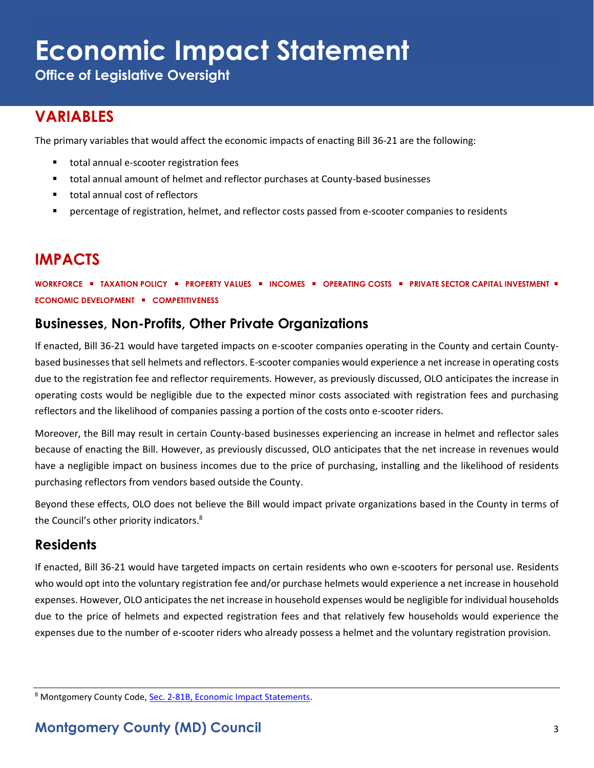**Office of Legislative Oversight**

# **VARIABLES**

The primary variables that would affect the economic impacts of enacting Bill 36-21 are the following:

- total annual e-scooter registration fees
- total annual amount of helmet and reflector purchases at County-based businesses
- total annual cost of reflectors
- percentage of registration, helmet, and reflector costs passed from e-scooter companies to residents

# **IMPACTS**

**WORKFORCE** ▪ **TAXATION POLICY** ▪ **PROPERTY VALUES** ▪ **INCOMES** ▪ **OPERATING COSTS** ▪ **PRIVATE SECTOR CAPITAL INVESTMENT** ▪ **ECONOMIC DEVELOPMENT** ▪ **COMPETITIVENESS**

#### **Businesses, Non-Profits, Other Private Organizations**

If enacted, Bill 36-21 would have targeted impacts on e-scooter companies operating in the County and certain Countybased businesses that sell helmets and reflectors. E-scooter companies would experience a net increase in operating costs due to the registration fee and reflector requirements. However, as previously discussed, OLO anticipates the increase in operating costs would be negligible due to the expected minor costs associated with registration fees and purchasing reflectors and the likelihood of companies passing a portion of the costs onto e-scooter riders.

Moreover, the Bill may result in certain County-based businesses experiencing an increase in helmet and reflector sales because of enacting the Bill. However, as previously discussed, OLO anticipates that the net increase in revenues would have a negligible impact on business incomes due to the price of purchasing, installing and the likelihood of residents purchasing reflectors from vendors based outside the County.

Beyond these effects, OLO does not believe the Bill would impact private organizations based in the County in terms of the Council's other priority indicators.<sup>8</sup>

#### **Residents**

If enacted, Bill 36-21 would have targeted impacts on certain residents who own e-scooters for personal use. Residents who would opt into the voluntary registration fee and/or purchase helmets would experience a net increase in household expenses. However, OLO anticipates the net increase in household expenses would be negligible for individual households due to the price of helmets and expected registration fees and that relatively few households would experience the expenses due to the number of e-scooter riders who already possess a helmet and the voluntary registration provision.

<sup>8</sup> Montgomery County Code, [Sec. 2-81B, Economic Impact Statements.](https://codelibrary.amlegal.com/codes/montgomerycounty/latest/montgomeryco_md/0-0-0-80894)